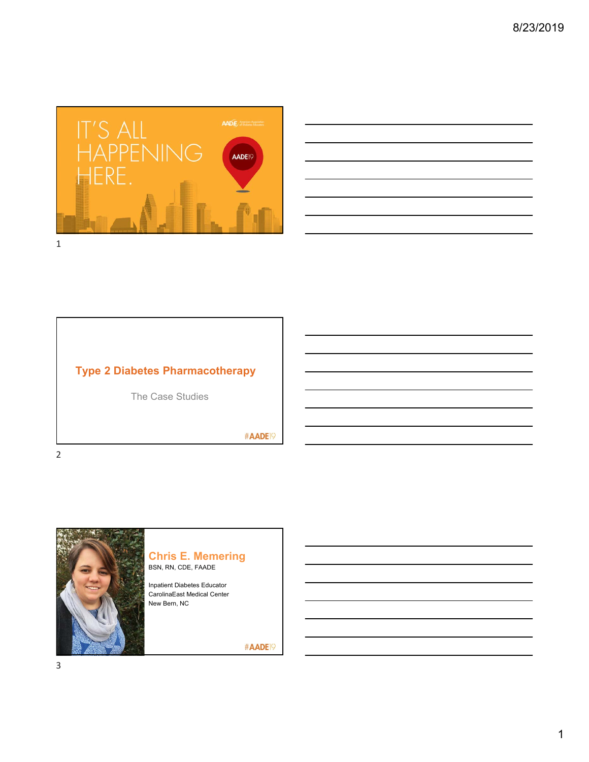

|  |                                                 |  | <u> 1989 - Andrea Santa Andrea Santa Andrea Santa Andrea Santa Andrea Santa Andrea Santa Andrea Santa Andrea San</u> |  |
|--|-------------------------------------------------|--|----------------------------------------------------------------------------------------------------------------------|--|
|  |                                                 |  |                                                                                                                      |  |
|  | the contract of the contract of the contract of |  |                                                                                                                      |  |
|  |                                                 |  |                                                                                                                      |  |

# **Type 2 Diabetes Pharmacotherapy**

The Case Studies

#AADE<sup>19</sup>



#### **Chris E. Memering** BSN, RN, CDE, FAADE

Inpatient Diabetes Educator CarolinaEast Medical Center New Bern, NC

#AADE<sup>19</sup>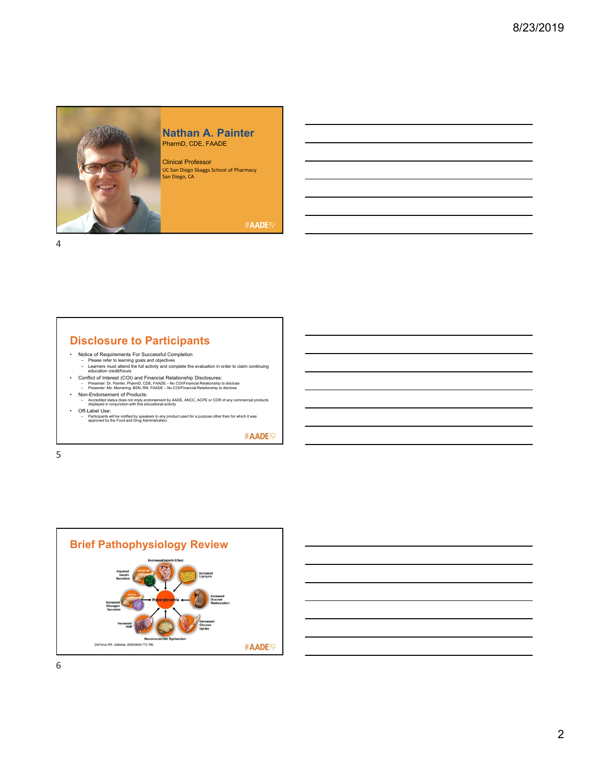

#### **Nathan A. Painter** PharmD, CDE, FAADE

Clinical Professor UC San Diego Skaggs School of Pharmacy San Diego, CA

#AADE<sup>19</sup>

4

# **Disclosure to Participants**

- 
- Notice of Requirements For Successful Completion Please refer to learning goals and objectives Learners must attend the full activity and complete the evaluation in order to claim continuing education credit/hours
- Conflict of Interest (COI) and Financial Relationship Disclosures:<br>- Presenter: Dr. Painter, PharmD, CDE, FAADE No COl/Financial Relationship to disclose<br>- Presenter: Ms. Memering, BSN, RN, FAADE No COl/Financial Re
- Non-Endorsement of Products: – Accredited status does not imply endorsement by AADE, ANCC, ACPE or CDR of any commercial products displayed in conjunction with this educational activity
- 
- Off-Label Use: Participants will be notified by speakers to any product used for a purpose other than for which it was approved by the Food and Drug Administration.

#AADE<sup>19</sup>

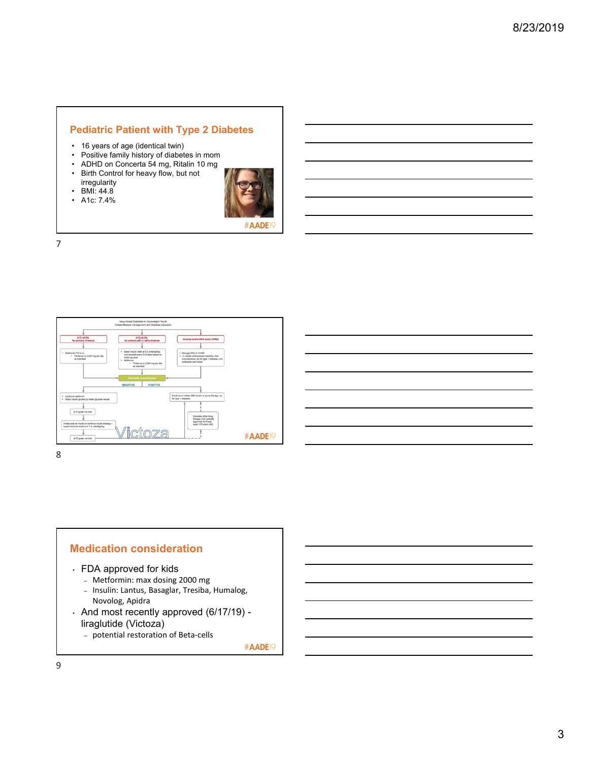### **Pediatric Patient with Type 2 Diabetes**

- 16 years of age (identical twin)
- Positive family history of diabetes in mom
- ADHD on Concerta 54 mg, Ritalin 10 mg
- Birth Control for heavy flow, but not irregularity  $\cdot$  BMI: 44.8
- 
- A1c: 7.4%



#AADE

7



8

# **Medication consideration** • FDA approved for kids

- Metformin: max dosing 2000 mg
- Insulin: Lantus, Basaglar, Tresiba, Humalog, Novolog, Apidra
- And most recently approved (6/17/19) liraglutide (Victoza)
	- potential restoration of Beta‐cells

#AADE<sup>19</sup>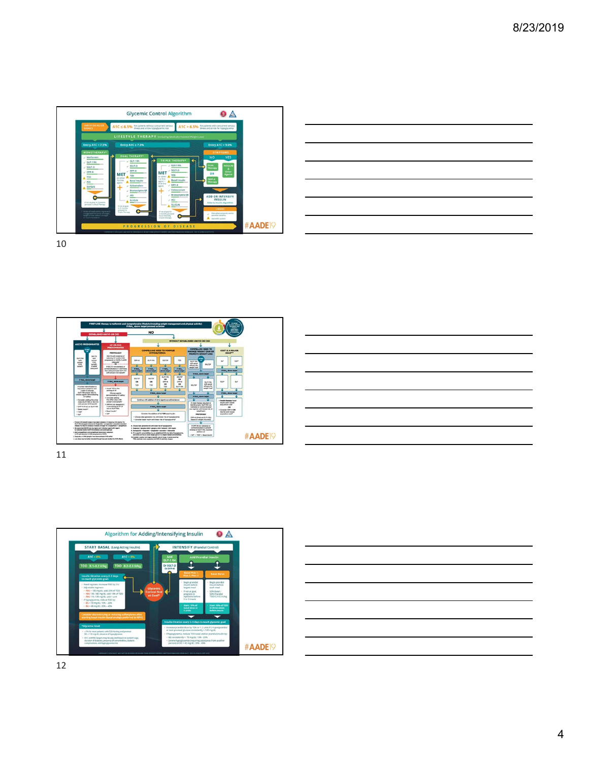

| <u> 1989 - John Harry Harry Harry Harry Harry Harry Harry Harry Harry Harry Harry Harry Harry Harry Harry Harry H</u> |  |  |  |  |
|-----------------------------------------------------------------------------------------------------------------------|--|--|--|--|
|                                                                                                                       |  |  |  |  |
|                                                                                                                       |  |  |  |  |
|                                                                                                                       |  |  |  |  |





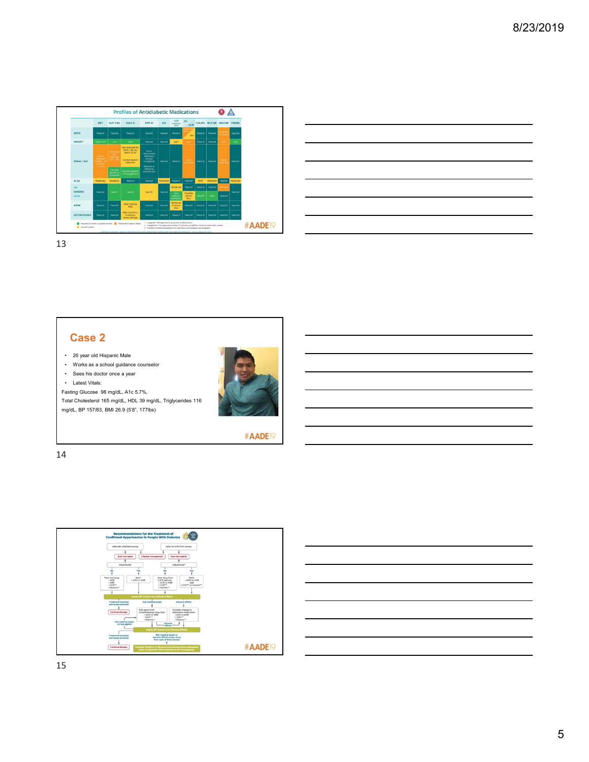

| <u> 1988 - Andrea Stadt Britain, amerikansk fotograf i stof i stof i stof i stof i stof i stof i stof i stof i st</u>                                                                                                                | and the control of the control of |
|--------------------------------------------------------------------------------------------------------------------------------------------------------------------------------------------------------------------------------------|-----------------------------------|
|                                                                                                                                                                                                                                      |                                   |
| <u> Andreas Andreas Andreas Andreas Andreas Andreas Andreas Andreas Andreas Andreas Andreas Andreas Andreas Andreas Andreas Andreas Andreas Andreas Andreas Andreas Andreas Andreas Andreas Andreas Andreas Andreas Andreas Andr</u> |                                   |
| <u> Alexandro de la contrada de la contrada de la contrada de la contrada de la contrada de la contrada de la co</u>                                                                                                                 |                                   |
| <u> Alexandria de la contrada de la contrada de la contrada de la contrada de la contrada de la contrada de la c</u>                                                                                                                 |                                   |
| <u> La componenta de la contrada de la contrada de la contrada de la contrada de la contrada de la contrada de l</u>                                                                                                                 |                                   |
| <u> 1989 - Johann Stoff, deutscher Stoff, der Stoff, der Stoff, der Stoff, der Stoff, der Stoff, der Stoff, der S</u>                                                                                                                |                                   |

## **Case 2**

- 26 year old Hispanic Male
- Works as a school guidance counselor
- Sees his doctor once a year
- Latest Vitals:

Fasting Glucose 98 mg/dL, A1c 5.7%,

Total Cholesterol 165 mg/dL, HDL 39 mg/dL, Triglycerides 116 mg/dL, BP 157/83, BMI 26.9 (5'8", 177lbs)



#AADE<sup>19</sup>



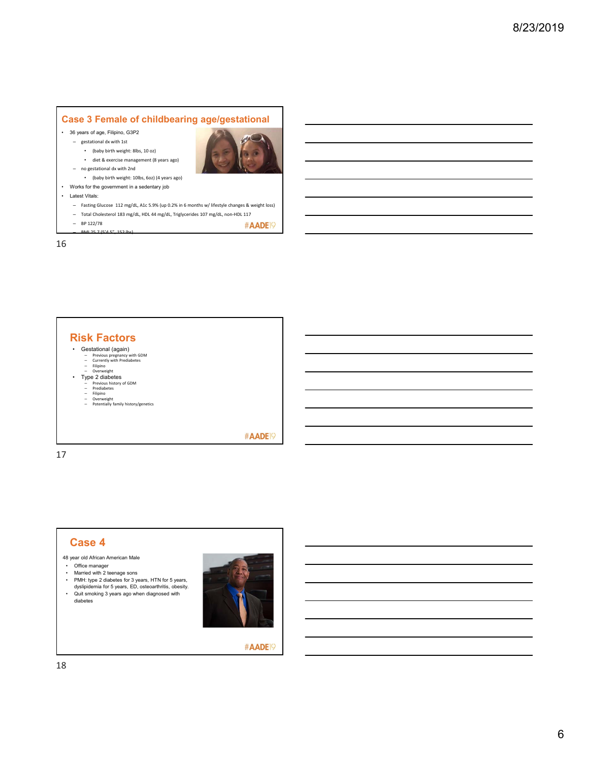## **Case 3 Female of childbearing age/gestational**

- 36 years of age, Filipino, G3P2
	- gestational dx with 1st
		- (baby birth weight: 8lbs, 10 oz) • diet & exercise management (8 years ago)



#AADE<sup>19</sup>

- no gestational dx with 2nd • (baby birth weight: 10lbs, 6oz) (4 years ago)
- Works for the government in a sedentary job
- Latest Vitals:
	- Fasting Glucose 112 mg/dL, A1c 5.9% (up 0.2% in 6 months w/ lifestyle changes & weight loss)
	- Total Cholesterol 183 mg/dL, HDL 44 mg/dL, Triglycerides 107 mg/dL, non‐HDL 117
	- BP 122/78
	- BMI 25.7 (5'4.5", 152 lbs)

16

#### **Risk Factors**

- Gestational (again)<br>
Previous pregnancy with GDM<br>
Currently with Prediabetes<br>
Filipino<br>
Overweight
	-
- Type 2 diabetes<br>
Previous history of GDM<br>
Prediabetes<br>
Filipino<br>
Overweight<br>
Potentially family history/genetics
	-
	-
	-

#AADE<sup>19</sup>

17

#### **Case 4** 48 year old African American Male • Office manager • Married with 2 teenage sons • PMH: type 2 diabetes for 3 years, HTN for 5 years, dyslipidemia for 5 years, ED, osteoarthritis, obesity. • Quit smoking 3 years ago when diagnosed with diabetes



#AADE<sup>19</sup>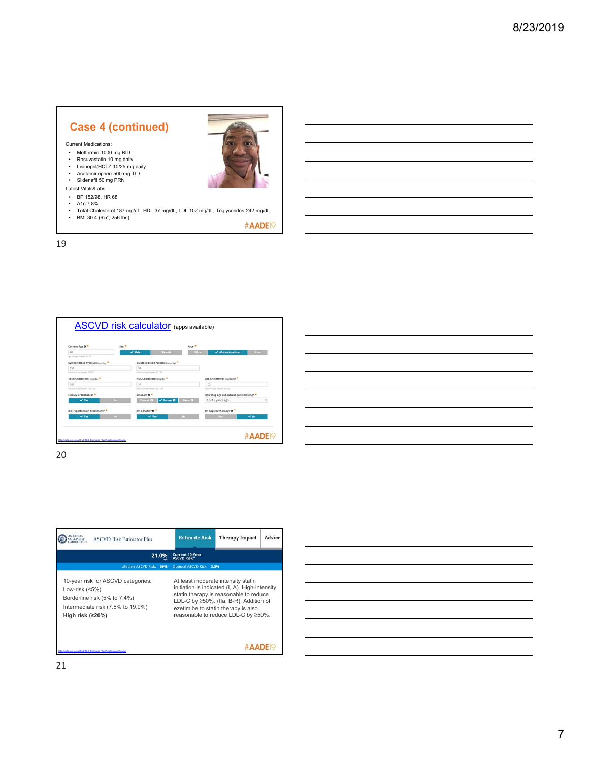# **Case 4 (continued)**

Current Medications:

- Metformin 1000 mg BID
- Rosuvastatin 10 mg daily Lisinopril/HCTZ 10/25 mg daily Acetaminophen 500 mg TID
- 
- Sildenafil 50 mg PRN
- Latest Vitals/Labs:
- BP 152/98, HR 68
- A1c  $7.8\%$
- Total Cholesterol 187 mg/dL, HDL 37 mg/dL, LDL 102 mg/dL, Triglycerides 242 mg/dL BMI 30.4 (6'5", 256 lbs)

#AADE<sup>19</sup>

19



| $\frac{1}{2} \left( \frac{1}{2} \right) \left( \frac{1}{2} \right) \left( \frac{1}{2} \right) \left( \frac{1}{2} \right) \left( \frac{1}{2} \right) \left( \frac{1}{2} \right) \left( \frac{1}{2} \right) \left( \frac{1}{2} \right) \left( \frac{1}{2} \right) \left( \frac{1}{2} \right) \left( \frac{1}{2} \right) \left( \frac{1}{2} \right) \left( \frac{1}{2} \right) \left( \frac{1}{2} \right) \left( \frac{1}{2} \right) \left( \frac{1}{2} \right) \left( \frac$ |  |  |
|----------------------------------------------------------------------------------------------------------------------------------------------------------------------------------------------------------------------------------------------------------------------------------------------------------------------------------------------------------------------------------------------------------------------------------------------------------------------------|--|--|
|                                                                                                                                                                                                                                                                                                                                                                                                                                                                            |  |  |
|                                                                                                                                                                                                                                                                                                                                                                                                                                                                            |  |  |
|                                                                                                                                                                                                                                                                                                                                                                                                                                                                            |  |  |
|                                                                                                                                                                                                                                                                                                                                                                                                                                                                            |  |  |
|                                                                                                                                                                                                                                                                                                                                                                                                                                                                            |  |  |
|                                                                                                                                                                                                                                                                                                                                                                                                                                                                            |  |  |

20

| <b>ASCVD Risk Estimator Plus</b>                                                                                                                  | <b>Estimate Risk</b><br>Advice<br><b>Therapy Impact</b>                                                                                                                                                                                                |
|---------------------------------------------------------------------------------------------------------------------------------------------------|--------------------------------------------------------------------------------------------------------------------------------------------------------------------------------------------------------------------------------------------------------|
| 21.0%<br>Lifetime ASCVD Risk: 69%                                                                                                                 | <b>Current 10-Year</b><br><b>ASCVD Risk*</b><br>Optimal ASCVD Risk: 3.5%                                                                                                                                                                               |
| 10-year risk for ASCVD categories:<br>Low-risk $(5\%)$<br>Borderline risk (5% to 7.4%)<br>Intermediate risk (7.5% to 19.9%)<br>High risk $(220%)$ | At least moderate intensity statin<br>initiation is indicated (I, A). High-intensity<br>statin therapy is reasonable to reduce<br>LDL-C by ≥50%. (IIa, B-R). Addition of<br>ezetimibe to statin therapy is also<br>reasonable to reduce LDL-C by ≥50%. |
| (to://tools.acc.org/ASCVD-Risk-Estimator-Plus/#Vcalculate/estimate/                                                                               |                                                                                                                                                                                                                                                        |

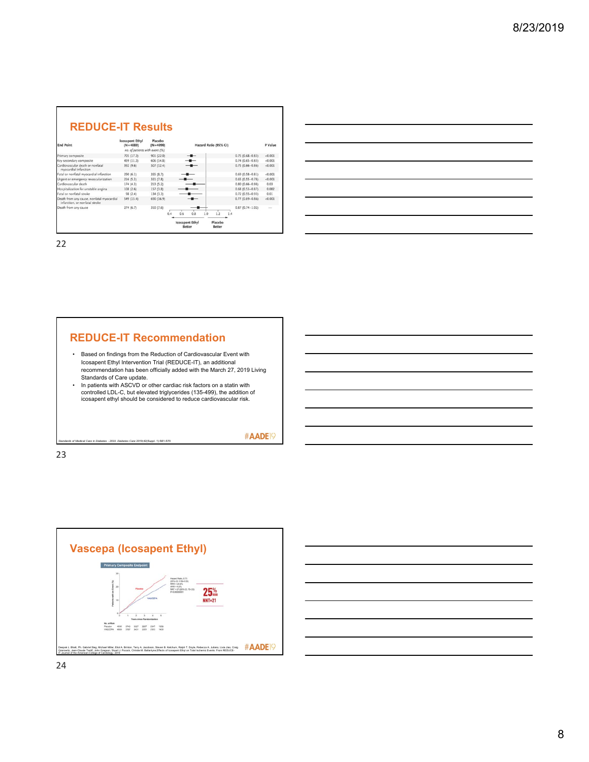





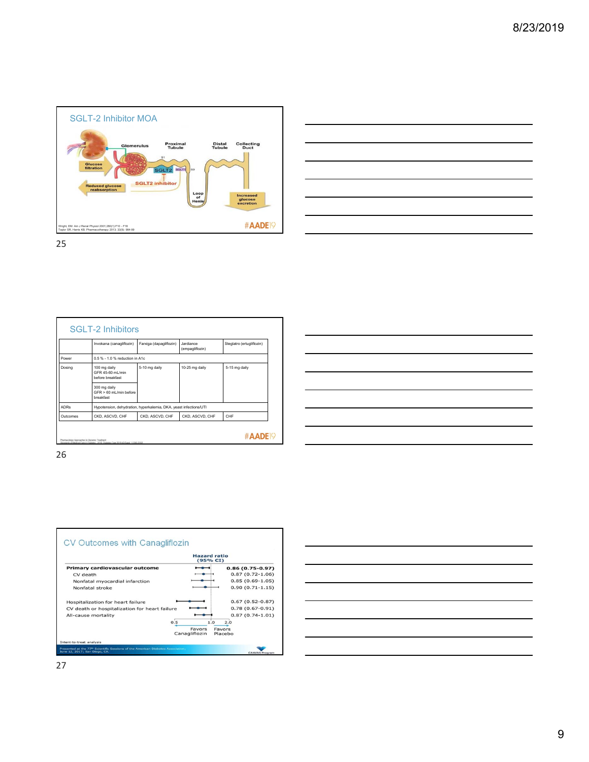



|             | Invokana (canagliflozin)                                          | Farxiga (dapagliflozin)         | Jardiance.<br>(empagliflozin) | Steglatro (ertugliflozin) |  |  |  |  |
|-------------|-------------------------------------------------------------------|---------------------------------|-------------------------------|---------------------------|--|--|--|--|
| Power       |                                                                   | 0.5 % - 1.0 % reduction in A1c. |                               |                           |  |  |  |  |
| Dosing      | 100 mg daily<br>GFR 45-60 ml /min<br>before breakfast             | 5-10 mg daily                   | 10-25 mg daily                | 5-15 mg daily             |  |  |  |  |
|             | 300 mg daily<br>$GFR > 60$ ml /min before<br>breakfast            |                                 |                               |                           |  |  |  |  |
| <b>ADRs</b> | Hypotension, dehydration, hyperkalemia, DKA, yeast infections/UTI |                                 |                               |                           |  |  |  |  |
| Outcomes    | CKD, ASCVD, CHF                                                   | CKD, ASCVD, CHF                 | CKD, ASCVD, CHF               | CHF                       |  |  |  |  |

|                                                                                                                       | <u> 1989 - Johann Harry Harry Harry Harry Harry Harry Harry Harry Harry Harry Harry Harry Harry Harry Harry Harry</u>  |  |        |
|-----------------------------------------------------------------------------------------------------------------------|------------------------------------------------------------------------------------------------------------------------|--|--------|
|                                                                                                                       |                                                                                                                        |  |        |
| <u> Album a componente de la componenta de la componenta de la componenta de la componenta de la componenta de la</u> |                                                                                                                        |  |        |
|                                                                                                                       | <u> 1989 - Johann Barn, mars ann an t-Amhain ann an t-Amhain ann an t-Amhain ann an t-Amhain an t-Amhain ann an t-</u> |  | ____   |
|                                                                                                                       | <u> 1989 - Johann Stoff, amerikansk politiker (* 1989)</u>                                                             |  |        |
|                                                                                                                       |                                                                                                                        |  |        |
|                                                                                                                       |                                                                                                                        |  | ______ |
|                                                                                                                       | <u> 1989 - Johann Stoff, deutscher Stoffen und der Stoffen und der Stoffen und der Stoffen und der Stoffen und de</u>  |  |        |
|                                                                                                                       |                                                                                                                        |  |        |



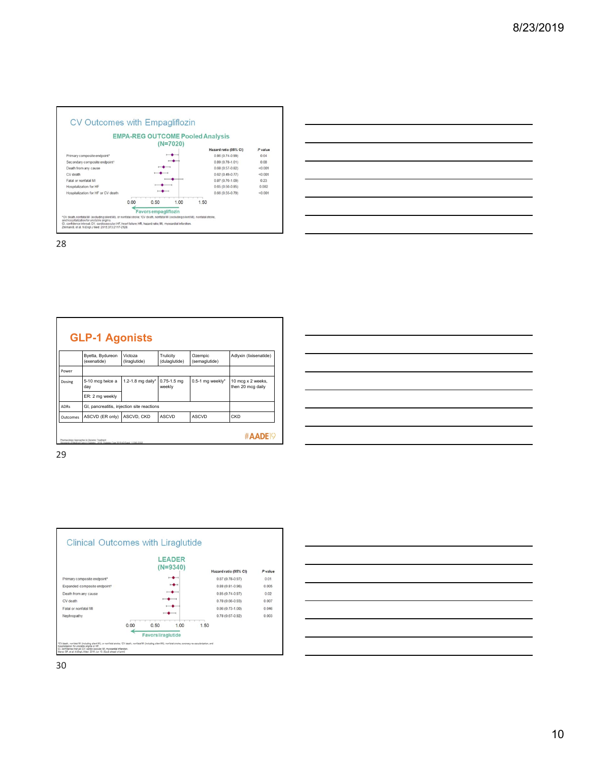

| <b>GLP-1 Agonists</b> |                                                                                                                                          |                          |                            |                          |                                        |  |  |
|-----------------------|------------------------------------------------------------------------------------------------------------------------------------------|--------------------------|----------------------------|--------------------------|----------------------------------------|--|--|
|                       | Byetta, Bydureon<br>(exenatide)                                                                                                          | Victoza<br>(liraglutide) | Trulicity<br>(dulaglutide) | Ozempic<br>(semaglutide) | Adlyxin (lixisenatide)                 |  |  |
| Power                 |                                                                                                                                          |                          |                            |                          |                                        |  |  |
| Dosing                | 5-10 mcg twice a<br>day                                                                                                                  | 1.2-1.8 mg daily*        | $0.75 - 1.5$ mg<br>weekly  | $0.5-1$ mg weekly*       | 10 mcg x 2 weeks,<br>then 20 mcg daily |  |  |
|                       | ER: 2 mg weekly                                                                                                                          |                          |                            |                          |                                        |  |  |
| <b>ADRs</b>           | GI, pancreatitis, injection site reactions                                                                                               |                          |                            |                          |                                        |  |  |
| Outcomes              | ASCVD (ER only)                                                                                                                          | ASCVD, CKD               | <b>ASCVD</b>               | <b>ASCVD</b>             | CKD                                    |  |  |
|                       | Pharmacologic Approaches to Glycemic Treatment<br>Standards of Medical Care in Diabetes - 2019. Diabetes Care 2019;42(Suppl. 1):590-5102 |                          |                            |                          | #AADE <sub>19</sub>                    |  |  |

| <u> 1989 - Johann Barn, fransk politik amerikansk politik (</u>                                                       |                                                                                                                       |  |  |                               |
|-----------------------------------------------------------------------------------------------------------------------|-----------------------------------------------------------------------------------------------------------------------|--|--|-------------------------------|
| <u> 1999 - Johann John Stone, markin sanadi amerikan bahasa dan berasal dan berasal dalam berasal dalam berasal d</u> |                                                                                                                       |  |  |                               |
|                                                                                                                       |                                                                                                                       |  |  |                               |
|                                                                                                                       |                                                                                                                       |  |  | and the control of the        |
|                                                                                                                       |                                                                                                                       |  |  |                               |
| <u> Alexandro de la contrada de la contrada de la contrada de la contrada de la contrada de la contrada de la co</u>  |                                                                                                                       |  |  | the control of the control of |
|                                                                                                                       |                                                                                                                       |  |  |                               |
|                                                                                                                       | <u> 1989 - Johann Stoff, deutscher Stoffen und der Stoffen und der Stoffen und der Stoffen und der Stoffen und de</u> |  |  |                               |

29



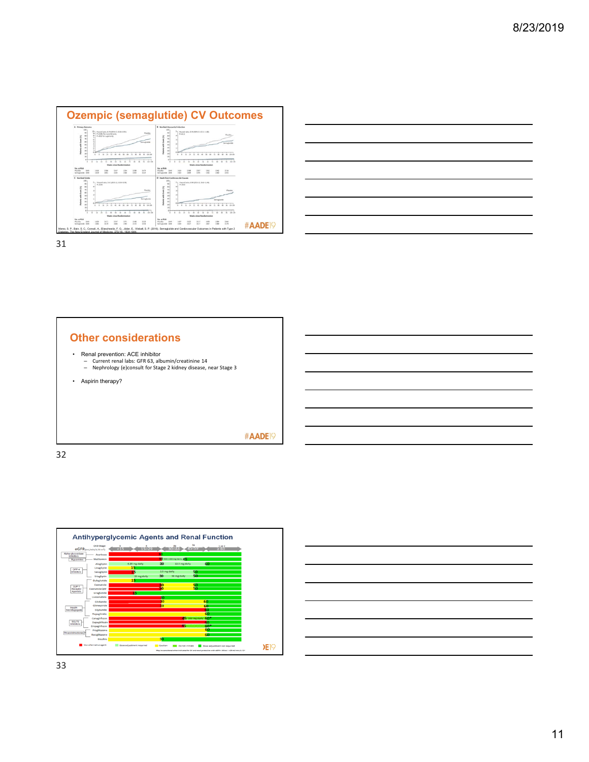





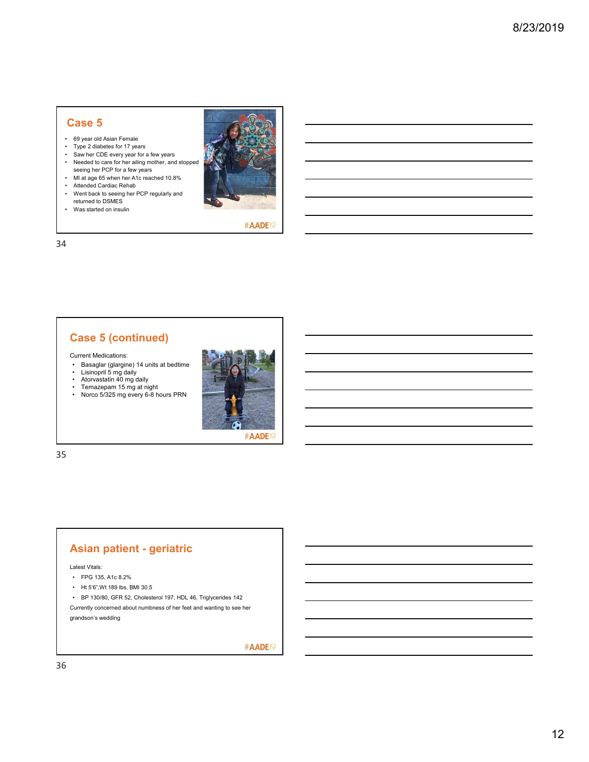## **Case 5**

- 69 year old Asian Female
- Type 2 diabetes for 17 years
- Saw her CDE every year for a few years • Needed to care for her ailing mother, and stopped seeing her PCP for a few years
- MI at age 65 when her A1c reached 10.8%
- Attended Cardiac Rehab
- Went back to seeing her PCP regularly and returned to DSMES
- Was started on insulin



#AADE<sup>19</sup>

34

# **Case 5 (continued)**

Current Medications:

- Basaglar (glargine) 14 units at bedtime Lisinopril 5 mg daily Atorvastatin 40 mg daily
- 
- 
- Temazepam 15 mg at night Norco 5/325 mg every 6-8 hours PRN



35

## **Asian patient - geriatric**

Latest Vitals:

- FPG 135, A1c 8.2%
- Ht 5'6",Wt 189 lbs, BMI 30.5

• BP 130/80, GFR 52, Cholesterol 197, HDL 46, Triglycerides 142 Currently concerned about numbness of her feet and wanting to see her grandson's wedding

#AADE<sup>19</sup>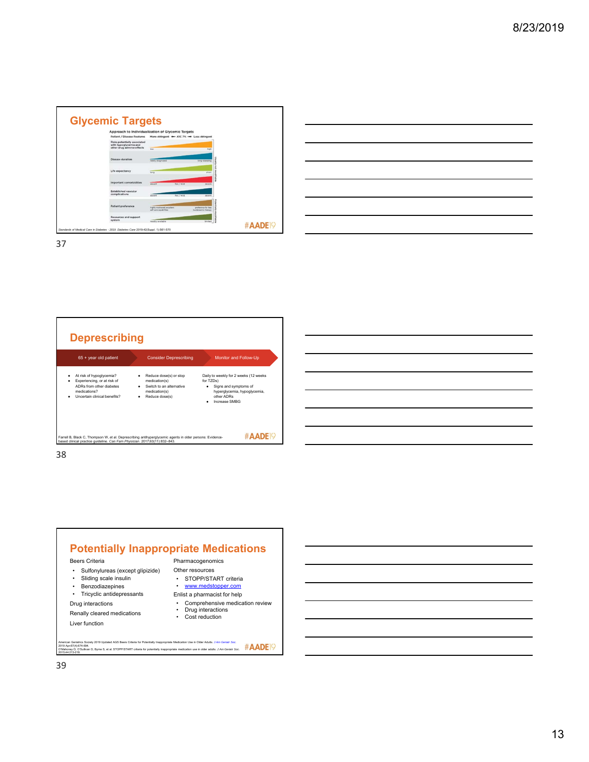| Approach to Individualization of Glycemic Targets                                          |                                                       |                                           |  |
|--------------------------------------------------------------------------------------------|-------------------------------------------------------|-------------------------------------------|--|
| <b>Patient / Disease Features</b>                                                          |                                                       | More stringent + AIC 7% + Less stringent  |  |
| <b>Risks potentially associated</b><br>with hypoglycemia and<br>other drug adverse effects | <b>Shar</b>                                           | <b>Tright</b>                             |  |
| Disease duration                                                                           | newly diagnosed                                       | long-standing                             |  |
| Life expectancy                                                                            | kana                                                  | short                                     |  |
| Important comorbidities                                                                    | absent                                                | faw / mid<br>severe                       |  |
| Established vascular<br>complications                                                      | absent                                                | few / mild<br>severe                      |  |
| <b>Patient preference</b>                                                                  | highly motivated, excellent<br>self-care capabilities | proference for less<br>burdensome therapy |  |
| Resources and support<br>system                                                            | readily available                                     | <b>Smited</b>                             |  |

| and the contract of the contract of the contract of the contract of the contract of the contract of the contract of  |  |                                                                                                                                                                      |  |  |
|----------------------------------------------------------------------------------------------------------------------|--|----------------------------------------------------------------------------------------------------------------------------------------------------------------------|--|--|
|                                                                                                                      |  |                                                                                                                                                                      |  |  |
|                                                                                                                      |  |                                                                                                                                                                      |  |  |
| and the contract of the contract of the contract of the contract of the contract of the contract of the contract of  |  |                                                                                                                                                                      |  |  |
| <u> Andreas Andreas Andreas Andreas Andreas Andreas Andreas Andreas Andreas Andreas Andreas Andreas Andreas Andr</u> |  |                                                                                                                                                                      |  |  |
|                                                                                                                      |  | ,我们也不会有一个人的事情。""我们的人们,我们也不会有一个人的人,我们也不会有一个人的人,我们也不会有一个人的人,我们也不会有一个人的人,我们也不会有一个人的<br>第一百一十一章 我们的人,我们的人们的人们,我们的人们的人们的人们,我们的人们的人们的人们,我们的人们的人们,我们的人们的人们,我们的人们的人们,我们的人们的人 |  |  |
| <u> 1989 - Andrea Andrew Maria (h. 1989).</u>                                                                        |  |                                                                                                                                                                      |  |  |
|                                                                                                                      |  |                                                                                                                                                                      |  |  |



38



Beers Criteria

- Sulfonylureas (except glipizide) • Sliding scale insulin
- Benzodiazepines
- Tricyclic antidepressants
- Drug interactions

Renally cleared medications Liver function

Other resources • STOPP/START criteria<br>• <u>www.medstopper.com</u>

- Enlist a pharmacist for help
- 
- Comprehensive medication review Drug interactions • Cost reduction

American Geriatrics Society 2019 Updated AGS Beers Criteria for Potentially Inappropriate Medication Use in Older Adults. J Am Geriatr Soc.<br>2019 Apr.67(4):874-694.<br>O'Mahoney D, O'Sullivan D, Byrne S, et al. STOPP/START cri 2015;44:213-218.